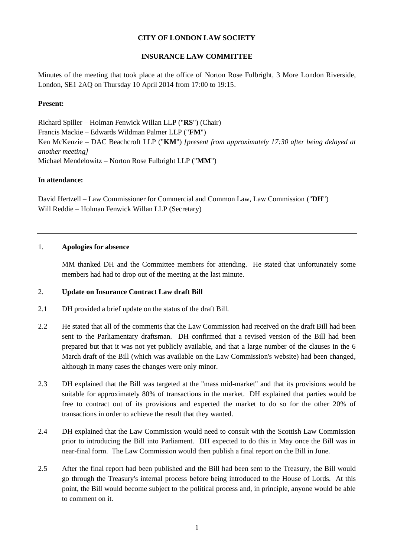# **CITY OF LONDON LAW SOCIETY**

# **INSURANCE LAW COMMITTEE**

Minutes of the meeting that took place at the office of Norton Rose Fulbright, 3 More London Riverside, London, SE1 2AQ on Thursday 10 April 2014 from 17:00 to 19:15.

#### **Present:**

Richard Spiller – Holman Fenwick Willan LLP ("**RS**") (Chair) Francis Mackie – Edwards Wildman Palmer LLP ("**FM**") Ken McKenzie – DAC Beachcroft LLP ("**KM**") *[present from approximately 17:30 after being delayed at another meeting]* Michael Mendelowitz – Norton Rose Fulbright LLP ("**MM**")

#### **In attendance:**

David Hertzell – Law Commissioner for Commercial and Common Law, Law Commission ("**DH**") Will Reddie – Holman Fenwick Willan LLP (Secretary)

#### 1. **Apologies for absence**

MM thanked DH and the Committee members for attending. He stated that unfortunately some members had had to drop out of the meeting at the last minute.

#### 2. **Update on Insurance Contract Law draft Bill**

- 2.1 DH provided a brief update on the status of the draft Bill.
- 2.2 He stated that all of the comments that the Law Commission had received on the draft Bill had been sent to the Parliamentary draftsman. DH confirmed that a revised version of the Bill had been prepared but that it was not yet publicly available, and that a large number of the clauses in the 6 March draft of the Bill (which was available on the Law Commission's website) had been changed, although in many cases the changes were only minor.
- 2.3 DH explained that the Bill was targeted at the "mass mid-market" and that its provisions would be suitable for approximately 80% of transactions in the market. DH explained that parties would be free to contract out of its provisions and expected the market to do so for the other 20% of transactions in order to achieve the result that they wanted.
- 2.4 DH explained that the Law Commission would need to consult with the Scottish Law Commission prior to introducing the Bill into Parliament. DH expected to do this in May once the Bill was in near-final form. The Law Commission would then publish a final report on the Bill in June.
- 2.5 After the final report had been published and the Bill had been sent to the Treasury, the Bill would go through the Treasury's internal process before being introduced to the House of Lords. At this point, the Bill would become subject to the political process and, in principle, anyone would be able to comment on it.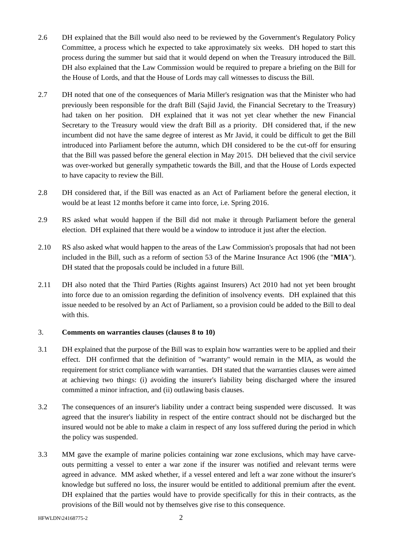- 2.6 DH explained that the Bill would also need to be reviewed by the Government's Regulatory Policy Committee, a process which he expected to take approximately six weeks. DH hoped to start this process during the summer but said that it would depend on when the Treasury introduced the Bill. DH also explained that the Law Commission would be required to prepare a briefing on the Bill for the House of Lords, and that the House of Lords may call witnesses to discuss the Bill.
- 2.7 DH noted that one of the consequences of Maria Miller's resignation was that the Minister who had previously been responsible for the draft Bill (Sajid Javid, the Financial Secretary to the Treasury) had taken on her position. DH explained that it was not yet clear whether the new Financial Secretary to the Treasury would view the draft Bill as a priority. DH considered that, if the new incumbent did not have the same degree of interest as Mr Javid, it could be difficult to get the Bill introduced into Parliament before the autumn, which DH considered to be the cut-off for ensuring that the Bill was passed before the general election in May 2015. DH believed that the civil service was over-worked but generally sympathetic towards the Bill, and that the House of Lords expected to have capacity to review the Bill.
- 2.8 DH considered that, if the Bill was enacted as an Act of Parliament before the general election, it would be at least 12 months before it came into force, i.e. Spring 2016.
- 2.9 RS asked what would happen if the Bill did not make it through Parliament before the general election. DH explained that there would be a window to introduce it just after the election.
- 2.10 RS also asked what would happen to the areas of the Law Commission's proposals that had not been included in the Bill, such as a reform of section 53 of the Marine Insurance Act 1906 (the "**MIA**"). DH stated that the proposals could be included in a future Bill.
- 2.11 DH also noted that the Third Parties (Rights against Insurers) Act 2010 had not yet been brought into force due to an omission regarding the definition of insolvency events. DH explained that this issue needed to be resolved by an Act of Parliament, so a provision could be added to the Bill to deal with this.

### 3. **Comments on warranties clauses (clauses 8 to 10)**

- 3.1 DH explained that the purpose of the Bill was to explain how warranties were to be applied and their effect. DH confirmed that the definition of "warranty" would remain in the MIA, as would the requirement for strict compliance with warranties. DH stated that the warranties clauses were aimed at achieving two things: (i) avoiding the insurer's liability being discharged where the insured committed a minor infraction, and (ii) outlawing basis clauses.
- 3.2 The consequences of an insurer's liability under a contract being suspended were discussed. It was agreed that the insurer's liability in respect of the entire contract should not be discharged but the insured would not be able to make a claim in respect of any loss suffered during the period in which the policy was suspended.
- 3.3 MM gave the example of marine policies containing war zone exclusions, which may have carveouts permitting a vessel to enter a war zone if the insurer was notified and relevant terms were agreed in advance. MM asked whether, if a vessel entered and left a war zone without the insurer's knowledge but suffered no loss, the insurer would be entitled to additional premium after the event. DH explained that the parties would have to provide specifically for this in their contracts, as the provisions of the Bill would not by themselves give rise to this consequence.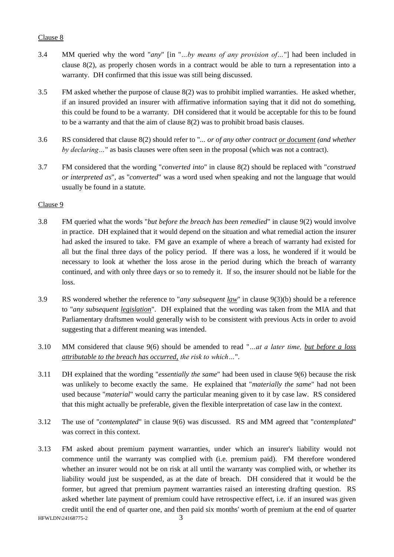# Clause 8

- 3.4 MM queried why the word "*any*" [in "*…by means of any provision of…*"] had been included in clause 8(2), as properly chosen words in a contract would be able to turn a representation into a warranty. DH confirmed that this issue was still being discussed.
- 3.5 FM asked whether the purpose of clause 8(2) was to prohibit implied warranties. He asked whether, if an insured provided an insurer with affirmative information saying that it did not do something, this could be found to be a warranty. DH considered that it would be acceptable for this to be found to be a warranty and that the aim of clause 8(2) was to prohibit broad basis clauses.
- 3.6 RS considered that clause 8(2) should refer to "*... or of any other contract or document (and whether by declaring…*" as basis clauses were often seen in the proposal (which was not a contract).
- 3.7 FM considered that the wording "*converted into*" in clause 8(2) should be replaced with "*construed or interpreted as*", as "*converted*" was a word used when speaking and not the language that would usually be found in a statute.

# Clause 9

- 3.8 FM queried what the words "*but before the breach has been remedied*" in clause 9(2) would involve in practice. DH explained that it would depend on the situation and what remedial action the insurer had asked the insured to take. FM gave an example of where a breach of warranty had existed for all but the final three days of the policy period. If there was a loss, he wondered if it would be necessary to look at whether the loss arose in the period during which the breach of warranty continued, and with only three days or so to remedy it. If so, the insurer should not be liable for the loss.
- 3.9 RS wondered whether the reference to "*any subsequent law*" in clause 9(3)(b) should be a reference to "*any subsequent legislation*". DH explained that the wording was taken from the MIA and that Parliamentary draftsmen would generally wish to be consistent with previous Acts in order to avoid suggesting that a different meaning was intended.
- 3.10 MM considered that clause 9(6) should be amended to read "*…at a later time, but before a loss attributable to the breach has occurred, the risk to which…*".
- 3.11 DH explained that the wording "*essentially the same*" had been used in clause 9(6) because the risk was unlikely to become exactly the same. He explained that "*materially the same*" had not been used because "*material*" would carry the particular meaning given to it by case law. RS considered that this might actually be preferable, given the flexible interpretation of case law in the context.
- 3.12 The use of "*contemplated*" in clause 9(6) was discussed. RS and MM agreed that "*contemplated*" was correct in this context.
- 3.13 FM asked about premium payment warranties, under which an insurer's liability would not commence until the warranty was complied with (i.e. premium paid). FM therefore wondered whether an insurer would not be on risk at all until the warranty was complied with, or whether its liability would just be suspended, as at the date of breach. DH considered that it would be the former, but agreed that premium payment warranties raised an interesting drafting question. RS asked whether late payment of premium could have retrospective effect, i.e. if an insured was given credit until the end of quarter one, and then paid six months' worth of premium at the end of quarter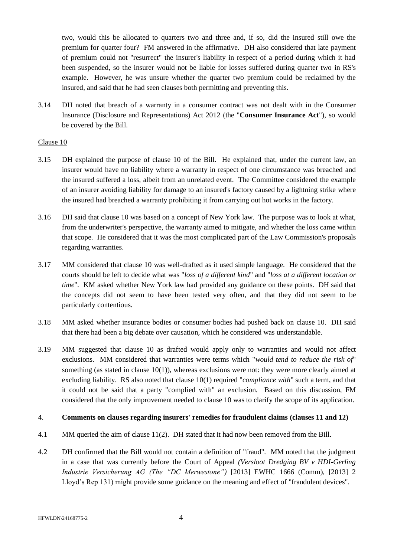two, would this be allocated to quarters two and three and, if so, did the insured still owe the premium for quarter four? FM answered in the affirmative. DH also considered that late payment of premium could not "resurrect" the insurer's liability in respect of a period during which it had been suspended, so the insurer would not be liable for losses suffered during quarter two in RS's example. However, he was unsure whether the quarter two premium could be reclaimed by the insured, and said that he had seen clauses both permitting and preventing this.

3.14 DH noted that breach of a warranty in a consumer contract was not dealt with in the Consumer Insurance (Disclosure and Representations) Act 2012 (the "**Consumer Insurance Act**"), so would be covered by the Bill.

### Clause 10

- <span id="page-3-0"></span>3.15 DH explained the purpose of clause 10 of the Bill. He explained that, under the current law, an insurer would have no liability where a warranty in respect of one circumstance was breached and the insured suffered a loss, albeit from an unrelated event. The Committee considered the example of an insurer avoiding liability for damage to an insured's factory caused by a lightning strike where the insured had breached a warranty prohibiting it from carrying out hot works in the factory.
- 3.16 DH said that clause 10 was based on a concept of New York law. The purpose was to look at what, from the underwriter's perspective, the warranty aimed to mitigate, and whether the loss came within that scope. He considered that it was the most complicated part of the Law Commission's proposals regarding warranties.
- 3.17 MM considered that clause 10 was well-drafted as it used simple language. He considered that the courts should be left to decide what was "*loss of a different kind*" and "*loss at a different location or time*". KM asked whether New York law had provided any guidance on these points. DH said that the concepts did not seem to have been tested very often, and that they did not seem to be particularly contentious.
- 3.18 MM asked whether insurance bodies or consumer bodies had pushed back on clause 10. DH said that there had been a big debate over causation, which he considered was understandable.
- 3.19 MM suggested that clause 10 as drafted would apply only to warranties and would not affect exclusions. MM considered that warranties were terms which "*would tend to reduce the risk of*" something (as stated in clause  $10(1)$ ), whereas exclusions were not: they were more clearly aimed at excluding liability. RS also noted that clause 10(1) required "*compliance with*" such a term, and that it could not be said that a party "complied with" an exclusion. Based on this discussion, FM considered that the only improvement needed to clause 10 was to clarify the scope of its application.

## 4. **Comments on clauses regarding insurers' remedies for fraudulent claims (clauses 11 and 12)**

- 4.1 MM queried the aim of clause 11(2). DH stated that it had now been removed from the Bill.
- 4.2 DH confirmed that the Bill would not contain a definition of "fraud". MM noted that the judgment in a case that was currently before the Court of Appeal *(Versloot Dredging BV v HDI-Gerling Industrie Versicherung AG (The "DC Merwestone")* [2013] EWHC 1666 (Comm), [2013] 2 Lloyd's Rep 131) might provide some guidance on the meaning and effect of "fraudulent devices".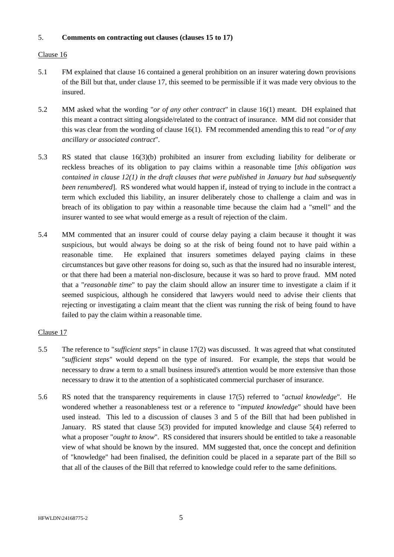## 5. **Comments on contracting out clauses (clauses 15 to 17)**

# Clause 16

- 5.1 FM explained that clause 16 contained a general prohibition on an insurer watering down provisions of the Bill but that, under clause 17, this seemed to be permissible if it was made very obvious to the insured.
- 5.2 MM asked what the wording "*or of any other contract*" in clause 16(1) meant. DH explained that this meant a contract sitting alongside/related to the contract of insurance. MM did not consider that this was clear from the wording of clause 16(1). FM recommended amending this to read "*or of any ancillary or associated contract*".
- 5.3 RS stated that clause 16(3)(b) prohibited an insurer from excluding liability for deliberate or reckless breaches of its obligation to pay claims within a reasonable time [*this obligation was contained in clause 12(1) in the draft clauses that were published in January but had subsequently been renumbered*]. RS wondered what would happen if, instead of trying to include in the contract a term which excluded this liability, an insurer deliberately chose to challenge a claim and was in breach of its obligation to pay within a reasonable time because the claim had a "smell" and the insurer wanted to see what would emerge as a result of rejection of the claim.
- 5.4 MM commented that an insurer could of course delay paying a claim because it thought it was suspicious, but would always be doing so at the risk of being found not to have paid within a reasonable time. He explained that insurers sometimes delayed paying claims in these circumstances but gave other reasons for doing so, such as that the insured had no insurable interest, or that there had been a material non-disclosure, because it was so hard to prove fraud. MM noted that a "*reasonable time*" to pay the claim should allow an insurer time to investigate a claim if it seemed suspicious, although he considered that lawyers would need to advise their clients that rejecting or investigating a claim meant that the client was running the risk of being found to have failed to pay the claim within a reasonable time.

# Clause 17

- 5.5 The reference to "*sufficient steps*" in clause 17(2) was discussed. It was agreed that what constituted "*sufficient steps*" would depend on the type of insured. For example, the steps that would be necessary to draw a term to a small business insured's attention would be more extensive than those necessary to draw it to the attention of a sophisticated commercial purchaser of insurance.
- 5.6 RS noted that the transparency requirements in clause 17(5) referred to "*actual knowledge*". He wondered whether a reasonableness test or a reference to "*imputed knowledge*" should have been used instead. This led to a discussion of clauses 3 and 5 of the Bill that had been published in January. RS stated that clause 5(3) provided for imputed knowledge and clause 5(4) referred to what a proposer "*ought to know*". RS considered that insurers should be entitled to take a reasonable view of what should be known by the insured. MM suggested that, once the concept and definition of "knowledge" had been finalised, the definition could be placed in a separate part of the Bill so that all of the clauses of the Bill that referred to knowledge could refer to the same definitions.